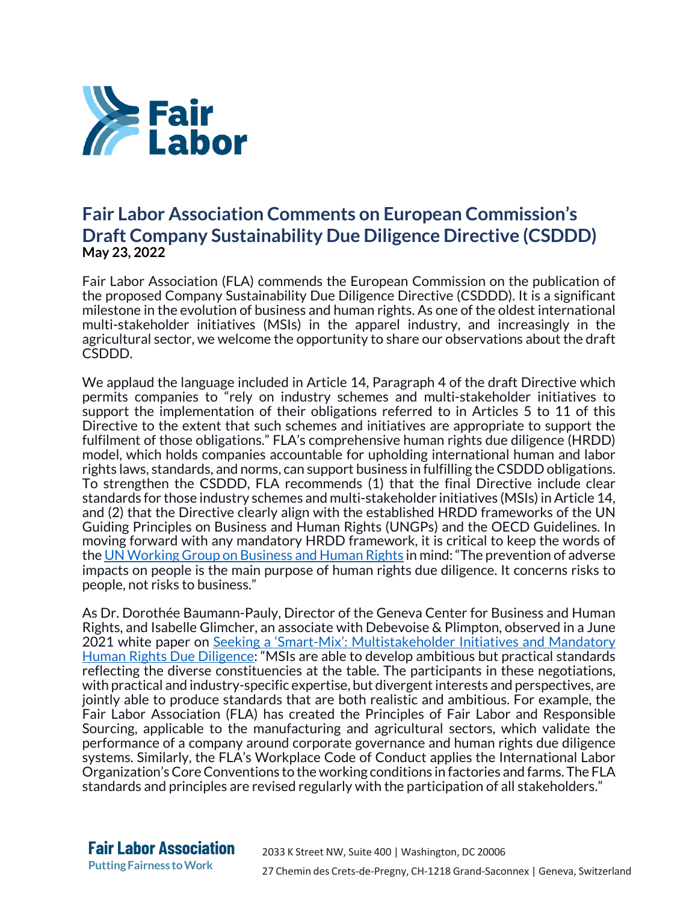

## **Fair Labor Association Comments on European Commission's Draft Company Sustainability Due Diligence Directive (CSDDD) May 23, 2022**

Fair Labor Association (FLA) commends the European Commission on the publication of the proposed Company Sustainability Due Diligence Directive (CSDDD). It is a significant milestone in the evolution of business and human rights. As one of the oldest international multi-stakeholder initiatives (MSIs) in the apparel industry, and increasingly in the agricultural sector, we welcome the opportunity to share our observations about the draft CSDDD.

We applaud the language included in Article 14, Paragraph 4 of the draft Directive which permits companies to "rely on industry schemes and multi-stakeholder initiatives to support the implementation of their obligations referred to in Articles 5 to 11 of this Directive to the extent that such schemes and initiatives are appropriate to support the fulfilment of those obligations." FLA's comprehensive human rights due diligence (HRDD) model, which holds companies accountable for upholding international human and labor rights laws, standards, and norms, can support business in fulfilling the CSDDD obligations. To strengthen the CSDDD, FLA recommends (1) that the final Directive include clear standards for those industry schemes and multi-stakeholder initiatives (MSIs) in Article 14, and (2) that the Directive clearly align with the established HRDD frameworks of the UN Guiding Principles on Business and Human Rights (UNGPs) and the OECD Guidelines. In moving forward with any mandatory HRDD framework, it is critical to keep the words of the UN Working Group on [Business and Human Rights](https://www.ohchr.org/en/special-procedures/wg-business/corporate-human-rights-due-diligence-identifying-and-leveraging-emerging-practices) in mind:"The prevention of adverse impacts on people is the main purpose of human rights due diligence. It concerns risks to people, not risks to business."

As Dr. Dorothée Baumann-Pauly, Director of the Geneva Center for Business and Human Rights, and Isabelle Glimcher, an associate with Debevoise & Plimpton, observed in a June 2021 white paper on [Seeking a 'Smart-Mix': Multistakeholder Initiatives and Mandatory](https://gcbhr.org/backoffice/resources/white-paper-msis-24p.pdf) Human Rights Due Diligence: "MSIs are able to develop ambitious but practical standards reflecting the diverse constituencies at the table. The participants in these negotiations, with practical and industry-specific expertise, but divergent interests and perspectives, are jointly able to produce standards that are both realistic and ambitious. For example, the Fair Labor Association (FLA) has created the Principles of Fair Labor and Responsible Sourcing, applicable to the manufacturing and agricultural sectors, which validate the performance of a company around corporate governance and human rights due diligence systems. Similarly, the FLA's Workplace Code of Conduct applies the International Labor Organization's Core Conventions to the working conditions in factories and farms. The FLA standards and principles are revised regularly with the participation of all stakeholders."

**Fair Labor Association PuttingFairness toWork**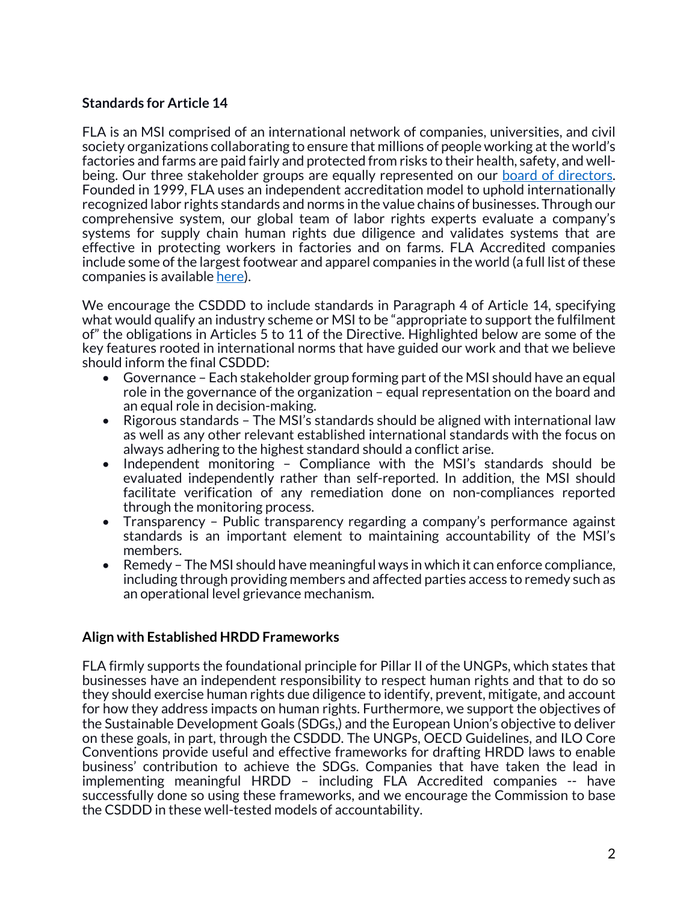## **Standards for Article 14**

FLA is an MSI comprised of an international network of companies, universities, and civil society organizations collaborating to ensure that millions of people working at the world's factories and farms are paid fairly and protected from risks to their health, safety, and wellbeing. Our three stakeholder groups are equally represented on our [board of directors.](https://www.fairlabor.org/about-us/board-of-directors/) Founded in 1999, FLA uses an independent accreditation model to uphold internationally recognized labor rights standards and norms in the value chains of businesses. Through our comprehensive system, our global team of labor rights experts evaluate a company's systems for supply chain human rights due diligence and validates systems that are effective in protecting workers in factories and on farms. FLA Accredited companies include some of the largest footwear and apparel companies in the world (a full list of these companies is available [here](https://www.fairlabor.org/members/fla-accredited/?member_type=fla-accredited)).

We encourage the CSDDD to include standards in Paragraph 4 of Article 14, specifying what would qualify an industry scheme or MSI to be "appropriate to support the fulfilment of" the obligations in Articles 5 to 11 of the Directive. Highlighted below are some of the key features rooted in international norms that have guided our work and that we believe should inform the final CSDDD:

- Governance Each stakeholder group forming part of the MSI should have an equal role in the governance of the organization – equal representation on the board and an equal role in decision-making.
- Rigorous standards The MSI's standards should be aligned with international law as well as any other relevant established international standards with the focus on always adhering to the highest standard should a conflict arise.
- Independent monitoring Compliance with the MSI's standards should be evaluated independently rather than self-reported. In addition, the MSI should facilitate verification of any remediation done on non-compliances reported through the monitoring process.
- Transparency Public transparency regarding a company's performance against standards is an important element to maintaining accountability of the MSI's members.
- Remedy The MSI should have meaningful ways in which it can enforce compliance, including through providing members and affected parties access to remedy such as an operational level grievance mechanism.

## **Align with Established HRDD Frameworks**

FLA firmly supports the foundational principle for Pillar II of the UNGPs, which states that businesses have an independent responsibility to respect human rights and that to do so they should exercise human rights due diligence to identify, prevent, mitigate, and account for how they address impacts on human rights. Furthermore, we support the objectives of the Sustainable Development Goals (SDGs,) and the European Union's objective to deliver on these goals, in part, through the CSDDD. The UNGPs, OECD Guidelines, and ILO Core Conventions provide useful and effective frameworks for drafting HRDD laws to enable business' contribution to achieve the SDGs. Companies that have taken the lead in implementing meaningful HRDD – including FLA Accredited companies -- have successfully done so using these frameworks, and we encourage the Commission to base the CSDDD in these well-tested models of accountability.